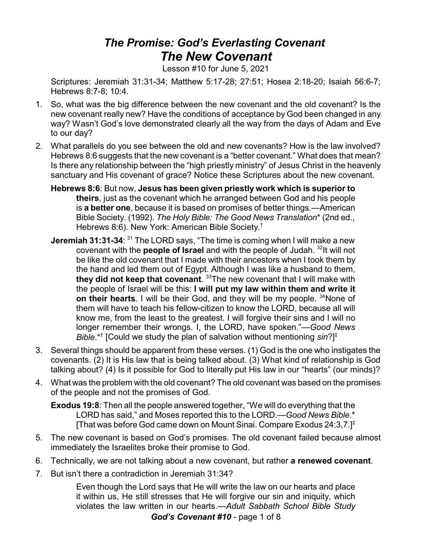## *The Promise: God's Everlasting Covenant The New Covenant*

Lesson #10 for June 5, 2021

Scriptures: Jeremiah 31:31-34; Matthew 5:17-28; 27:51; Hosea 2:18-20; Isaiah 56:6-7; Hebrews 8:7-8; 10:4.

- 1. So, what was the big difference between the new covenant and the old covenant? Is the new covenant really new? Have the conditions of acceptance by God been changed in any way? Wasn't God's love demonstrated clearly all the way from the days of Adam and Eve to our day?
- 2. What parallels do you see between the old and new covenants? How is the law involved? Hebrews 8:6 suggests that the new covenant is a "better covenant." What does that mean? Is there any relationship between the "high priestly ministry" of Jesus Christ in the heavenly sanctuary and His covenant of grace? Notice these Scriptures about the new covenant.
	- **Hebrews 8:6**: But now, **Jesus has been given priestly work which is superior to theirs**, just as the covenant which he arranged between God and his people is **a better one**, because it is based on promises of better things.—American Bible Society. (1992). *The Holy Bible: The Good News Translation*\* (2nd ed., Hebrews 8:6). New York: American Bible Society.<sup>†</sup>
	- **Jeremiah 31:31-34**: <sup>31</sup> The LORD says, "The time is coming when I will make a new covenant with the **people of Israel** and with the people of Judah. <sup>32</sup>It will not be like the old covenant that I made with their ancestors when I took them by the hand and led them out of Egypt. Although I was like a husband to them, **they did not keep that covenant**. <sup>33</sup>The new covenant that I will make with the people of Israel will be this: **I will put my law within them and write it on their hearts**. I will be their God, and they will be my people. <sup>34</sup>None of them will have to teach his fellow-citizen to know the LORD, because all will know me, from the least to the greatest. I will forgive their sins and I will no longer remember their wrongs. I, the LORD, have spoken."—*Good News Bible*.\*† [Could we study the plan of salvation without mentioning *sin*?] ‡
- 3. Several things should be apparent from these verses. (1) God is the one who instigates the covenants. (2) It is His law that is being talked about. (3) What kind of relationship is God talking about? (4) Is it possible for God to literally put His law in our "hearts" (our minds)?
- 4. What was the problem with the old covenant? The old covenant was based on the promises of the people and not the promises of God.

**Exodus 19:8**: Then all the people answered together, "We will do everything that the LORD has said," and Moses reported this to the LORD.—*Good News Bible*.\* [That was before God came down on Mount Sinai. Compare Exodus  $24:3.7.1^{\ddagger}$ 

- 5. The new covenant is based on God's promises. The old covenant failed because almost immediately the Israelites broke their promise to God.
- 6. Technically, we are not talking about a new covenant, but rather **a renewed covenant**.
- 7. But isn't there a contradiction in Jeremiah 31:34?

Even though the Lord says that He will write the law on our hearts and place it within us, He still stresses that He will forgive our sin and iniquity, which violates the law written in our hearts.—*Adult Sabbath School Bible Study*

*God's Covenant #10* - page 1 of 8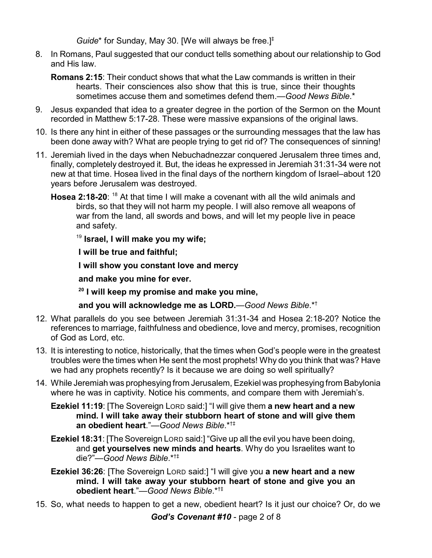*Guide*\* for Sunday, May 30. [We will always be free.]‡

- 8. In Romans, Paul suggested that our conduct tells something about our relationship to God and His law.
	- **Romans 2:15**: Their conduct shows that what the Law commands is written in their hearts. Their consciences also show that this is true, since their thoughts sometimes accuse them and sometimes defend them.—*Good News Bible*.\*
- 9. Jesus expanded that idea to a greater degree in the portion of the Sermon on the Mount recorded in Matthew 5:17-28. These were massive expansions of the original laws.
- 10. Is there any hint in either of these passages or the surrounding messages that the law has been done away with? What are people trying to get rid of? The consequences of sinning!
- 11. Jeremiah lived in the days when Nebuchadnezzar conquered Jerusalem three times and, finally, completely destroyed it. But, the ideas he expressed in Jeremiah 31:31-34 were not new at that time. Hosea lived in the final days of the northern kingdom of Israel–about 120 years before Jerusalem was destroyed.
	- **Hosea 2:18-20**: <sup>18</sup> At that time I will make a covenant with all the wild animals and birds, so that they will not harm my people. I will also remove all weapons of war from the land, all swords and bows, and will let my people live in peace and safety.

19 **Israel, I will make you my wife;** 

 **I will be true and faithful;**

 **I will show you constant love and mercy**

 **and make you mine for ever.** 

**20 I will keep my promise and make you mine,** 

 **and you will acknowledge me as LORD.**—*Good News Bible*.\*†

- 12. What parallels do you see between Jeremiah 31:31-34 and Hosea 2:18-20? Notice the references to marriage, faithfulness and obedience, love and mercy, promises, recognition of God as Lord, etc.
- 13. It is interesting to notice, historically, that the times when God's people were in the greatest troubles were the times when He sent the most prophets! Why do you think that was? Have we had any prophets recently? Is it because we are doing so well spiritually?
- 14. While Jeremiah was prophesying from Jerusalem, Ezekiel was prophesying from Babylonia where he was in captivity. Notice his comments, and compare them with Jeremiah's.
	- **Ezekiel 11:19**: [The Sovereign LORD said:] "I will give them **a new heart and a new mind. I will take away their stubborn heart of stone and will give them an obedient heart**."—*Good News Bible*.\*†‡
	- **Ezekiel 18:31**: [The Sovereign LORD said:] "Give up all the evil you have been doing, and **get yourselves new minds and hearts**. Why do you Israelites want to die?"—*Good News Bible*.\*†‡
	- **Ezekiel 36:26**: [The Sovereign LORD said:] "I will give you **a new heart and a new mind. I will take away your stubborn heart of stone and give you an obedient heart**."—*Good News Bible*.\*†‡
- 15. So, what needs to happen to get a new, obedient heart? Is it just our choice? Or, do we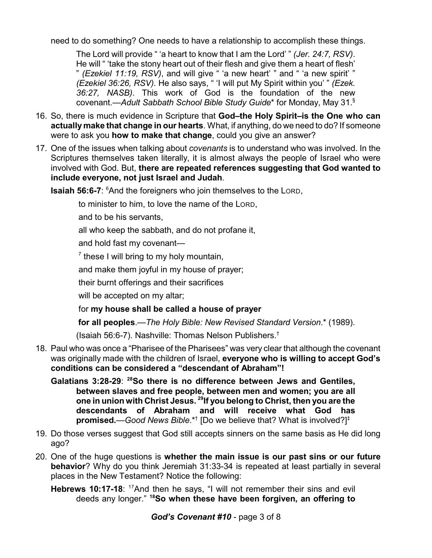need to do something? One needs to have a relationship to accomplish these things.

The Lord will provide " 'a heart to know that I am the Lord' " *(Jer. 24:7, RSV)*. He will " 'take the stony heart out of their flesh and give them a heart of flesh' " *(Ezekiel 11:19, RSV)*, and will give " 'a new heart' " and " 'a new spirit' " *(Ezekiel 36:26, RSV)*. He also says, " 'I will put My Spirit within you' " *(Ezek. 36:27, NASB)*. This work of God is the foundation of the new covenant.—*Adult Sabbath School Bible Study Guide*\* for Monday, May 31. §

- 16. So, there is much evidence in Scripture that **God–the Holy Spirit–is the One who can actually make that change in our hearts**. What, if anything, do we need to do? If someone were to ask you **how to make that change**, could you give an answer?
- 17. One of the issues when talking about *covenants* is to understand who was involved. In the Scriptures themselves taken literally, it is almost always the people of Israel who were involved with God. But, **there are repeated references suggesting that God wanted to include everyone, not just Israel and Judah**.

**Isaiah 56:6-7:** <sup>6</sup>And the foreigners who join themselves to the LORD,

to minister to him, to love the name of the LORD,

and to be his servants,

all who keep the sabbath, and do not profane it,

and hold fast my covenant—

 $<sup>7</sup>$  these I will bring to my holy mountain,</sup>

and make them joyful in my house of prayer;

their burnt offerings and their sacrifices

will be accepted on my altar;

## for **my house shall be called a house of prayer**

**for all peoples**.—*The Holy Bible: New Revised Standard Version*.\* (1989).

(Isaiah 56:6-7). Nashville: Thomas Nelson Publishers.†

- 18. Paul who was once a "Pharisee of the Pharisees" was very clear that although the covenant was originally made with the children of Israel, **everyone who is willing to accept God's conditions can be considered a "descendant of Abraham"!**
	- **Galatians 3:28-29**: **<sup>28</sup>So there is no difference between Jews and Gentiles, between slaves and free people, between men and women; you are all one in union with Christ Jesus. 29 If you belong to Christ, then you are the descendants of Abraham and will receive what God has promised.**—*Good News Bible*.\*† [Do we believe that? What is involved?] ‡
- 19. Do those verses suggest that God still accepts sinners on the same basis as He did long ago?
- 20. One of the huge questions is **whether the main issue is our past sins or our future behavior**? Why do you think Jeremiah 31:33-34 is repeated at least partially in several places in the New Testament? Notice the following:
	- Hebrews 10:17-18: <sup>17</sup>And then he says, "I will not remember their sins and evil deeds any longer." **<sup>18</sup>So when these have been forgiven, an offering to**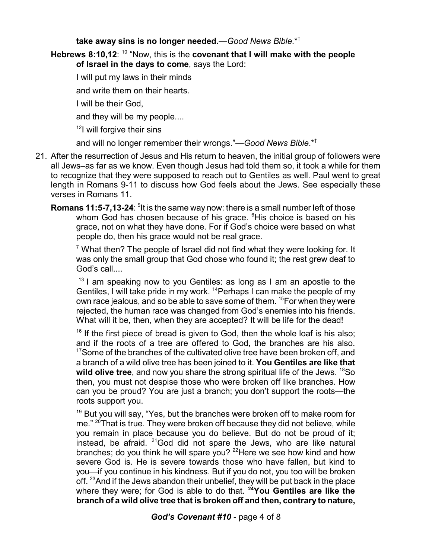## **take away sins is no longer needed.**—*Good News Bible*.\*†

**Hebrews 8:10,12**: <sup>10</sup> "Now, this is the **covenant that I will make with the people of Israel in the days to come**, says the Lord:

I will put my laws in their minds

and write them on their hearts.

I will be their God,

and they will be my people....

<sup>12</sup>l will forgive their sins

and will no longer remember their wrongs."—*Good News Bible*.\*†

- 21. After the resurrection of Jesus and His return to heaven, the initial group of followers were all Jews–as far as we know. Even though Jesus had told them so, it took a while for them to recognize that they were supposed to reach out to Gentiles as well. Paul went to great length in Romans 9-11 to discuss how God feels about the Jews. See especially these verses in Romans 11.
	- **Romans 11:5-7,13-24**: <sup>5</sup>It is the same way now: there is a small number left of those whom God has chosen because of his grace. <sup>6</sup>His choice is based on his grace, not on what they have done. For if God's choice were based on what people do, then his grace would not be real grace.

 $^7$  What then? The people of Israel did not find what they were looking for. It was only the small group that God chose who found it; the rest grew deaf to God's call....

<sup>13</sup> I am speaking now to you Gentiles: as long as I am an apostle to the Gentiles. I will take pride in my work. <sup>14</sup> Perhaps I can make the people of my own race jealous, and so be able to save some of them. <sup>15</sup>For when they were rejected, the human race was changed from God's enemies into his friends. What will it be, then, when they are accepted? It will be life for the dead!

<sup>16</sup> If the first piece of bread is given to God, then the whole loaf is his also; and if the roots of a tree are offered to God, the branches are his also.  $17$ Some of the branches of the cultivated olive tree have been broken off, and a branch of a wild olive tree has been joined to it. **You Gentiles are like that wild olive tree**, and now you share the strong spiritual life of the Jews. <sup>18</sup>So then, you must not despise those who were broken off like branches. How can you be proud? You are just a branch; you don't support the roots—the roots support you.

<sup>19</sup> But you will say, "Yes, but the branches were broken off to make room for me."  $20$ That is true. They were broken off because they did not believe, while you remain in place because you do believe. But do not be proud of it; instead, be afraid. <sup>21</sup>God did not spare the Jews, who are like natural branches; do you think he will spare you? <sup>22</sup>Here we see how kind and how severe God is. He is severe towards those who have fallen, but kind to you—if you continue in his kindness. But if you do not, you too will be broken off. <sup>23</sup>And if the Jews abandon their unbelief, they will be put back in the place where they were; for God is able to do that. **<sup>24</sup>You Gentiles are like the branch of a wild olive tree that is broken off and then, contrary to nature,**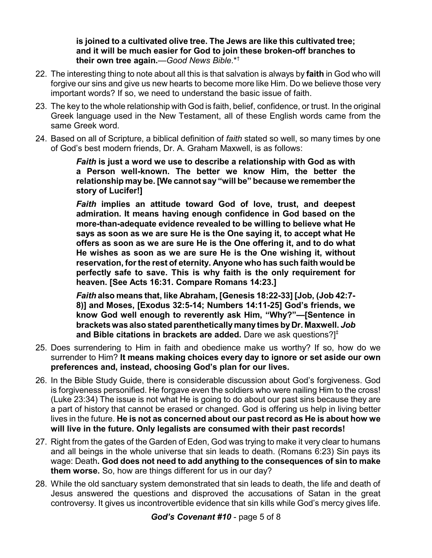**is joined to a cultivated olive tree. The Jews are like this cultivated tree; and it will be much easier for God to join these broken-off branches to their own tree again.**—*Good News Bible*.\*†

- 22. The interesting thing to note about all this is that salvation is always by **faith** in God who will forgive our sins and give us new hearts to become more like Him. Do we believe those very important words? If so, we need to understand the basic issue of faith.
- 23. The key to the whole relationship with God is faith, belief, confidence, or trust. In the original Greek language used in the New Testament, all of these English words came from the same Greek word.
- 24. Based on all of Scripture, a biblical definition of *faith* stated so well, so many times by one of God's best modern friends, Dr. A. Graham Maxwell, is as follows:

*Faith* **is just a word we use to describe a relationship with God as with a Person well-known. The better we know Him, the better the relationship may be. [We cannot say "will be" because we remember the story of Lucifer!]**

*Faith* **implies an attitude toward God of love, trust, and deepest admiration. It means having enough confidence in God based on the more-than-adequate evidence revealed to be willing to believe what He says as soon as we are sure He is the One saying it, to accept what He offers as soon as we are sure He is the One offering it, and to do what He wishes as soon as we are sure He is the One wishing it, without reservation, for the rest of eternity. Anyone who has such faith would be perfectly safe to save. This is why faith is the only requirement for heaven. [See Acts 16:31. Compare Romans 14:23.]**

*Faith* **also means that, like Abraham, [Genesis 18:22-33] [Job, (Job 42:7- 8)] and Moses, [Exodus 32:5-14; Numbers 14:11-25] God's friends, we know God well enough to reverently ask Him, "Why?"—[Sentence in bracketswas alsostated parentheticallymanytimes byDr. Maxwell.** *Job* **and Bible citations in brackets are added.** Dare we ask questions?] ‡

- 25. Does surrendering to Him in faith and obedience make us worthy? If so, how do we surrender to Him? **It means making choices every day to ignore or set aside our own preferences and, instead, choosing God's plan for our lives.**
- 26. In the Bible Study Guide, there is considerable discussion about God's forgiveness. God is forgiveness personified. He forgave even the soldiers who were nailing Him to the cross! (Luke 23:34) The issue is not what He is going to do about our past sins because they are a part of history that cannot be erased or changed. God is offering us help in living better lives in the future. **He is not as concerned about our past record as He is about how we will live in the future. Only legalists are consumed with their past records!**
- 27. Right from the gates of the Garden of Eden, God was trying to make it very clear to humans and all beings in the whole universe that sin leads to death. (Romans 6:23) Sin pays its wage: Death**. God does not need to add anything to the consequences of sin to make them worse.** So, how are things different for us in our day?
- 28. While the old sanctuary system demonstrated that sin leads to death, the life and death of Jesus answered the questions and disproved the accusations of Satan in the great controversy. It gives us incontrovertible evidence that sin kills while God's mercy gives life.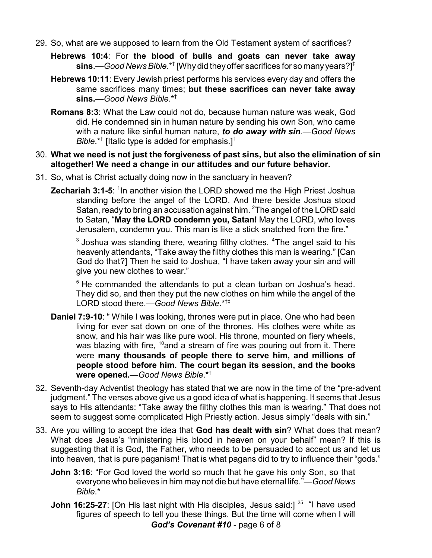- 29. So, what are we supposed to learn from the Old Testament system of sacrifices?
	- **Hebrews 10:4**: For **the blood of bulls and goats can never take away sins**.—*Good News Bible*.\*† [Why did theyoffer sacrifices for so many years?] ‡
	- **Hebrews 10:11**: Every Jewish priest performs his services every day and offers the same sacrifices many times; **but these sacrifices can never take away sins.**—*Good News Bible*.\*†
	- **Romans 8:3**: What the Law could not do, because human nature was weak, God did. He condemned sin in human nature by sending his own Son, who came with a nature like sinful human nature, *to do away with sin*.—*Good News Bible*.\*† [Italic type is added for emphasis.]‡
- 30. **What we need is not just the forgiveness of past sins, but also the elimination of sin altogether! We need a change in our attitudes and our future behavior.**
- 31. So, what is Christ actually doing now in the sanctuary in heaven?
	- **Zechariah 3:1-5**: <sup>1</sup>In another vision the LORD showed me the High Priest Joshua standing before the angel of the LORD. And there beside Joshua stood Satan, ready to bring an accusation against him. <sup>2</sup>The angel of the LORD said to Satan, "**May the LORD condemn you, Satan!** May the LORD, who loves Jerusalem, condemn you. This man is like a stick snatched from the fire."

 $^3$  Joshua was standing there, wearing filthy clothes.  $^4$ The angel said to his heavenly attendants, "Take away the filthy clothes this man is wearing." [Can God do that?] Then he said to Joshua, "I have taken away your sin and will give you new clothes to wear."

<sup>5</sup> He commanded the attendants to put a clean turban on Joshua's head. They did so, and then they put the new clothes on him while the angel of the LORD stood there.—*Good News Bible*.\*†‡

- **Daniel 7:9-10**: <sup>9</sup> While I was looking, thrones were put in place. One who had been living for ever sat down on one of the thrones. His clothes were white as snow, and his hair was like pure wool. His throne, mounted on fiery wheels, was blazing with fire, <sup>10</sup>and a stream of fire was pouring out from it. There were **many thousands of people there to serve him, and millions of people stood before him. The court began its session, and the books were opened.**—*Good News Bible*.\*†
- 32. Seventh-day Adventist theology has stated that we are now in the time of the "pre-advent judgment." The verses above give us a good idea of what is happening. It seems that Jesus says to His attendants: "Take away the filthy clothes this man is wearing." That does not seem to suggest some complicated High Priestly action. Jesus simply "deals with sin."
- 33. Are you willing to accept the idea that **God has dealt with sin**? What does that mean? What does Jesus's "ministering His blood in heaven on your behalf" mean? If this is suggesting that it is God, the Father, who needs to be persuaded to accept us and let us into heaven, that is pure paganism! That is what pagans did to try to influence their "gods."
	- **John 3:16**: "For God loved the world so much that he gave his only Son, so that everyone who believes in him may not die but have eternal life."—*Good News Bible*.\*
	- **John 16:25-27**: [On His last night with His disciples, Jesus said:]<sup>25</sup> "I have used figures of speech to tell you these things. But the time will come when I will *God's Covenant #10* - page 6 of 8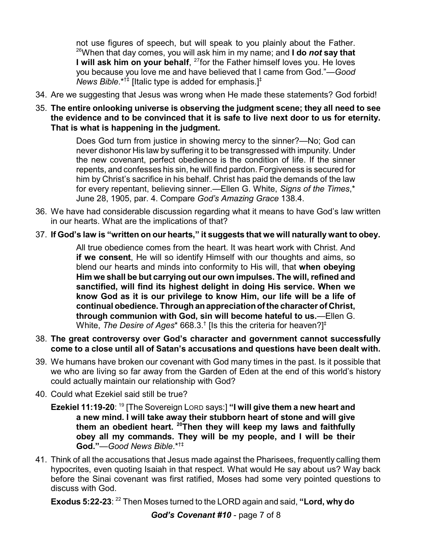not use figures of speech, but will speak to you plainly about the Father. <sup>26</sup>When that day comes, you will ask him in my name; and **I do** *not* **say that I will ask him on your behalf**, 27 for the Father himself loves you. He loves you because you love me and have believed that I came from God."—*Good News Bible*.\*†‡ [Italic type is added for emphasis.]‡

- 34. Are we suggesting that Jesus was wrong when He made these statements? God forbid!
- 35. **The entire onlooking universe is observing the judgment scene; they all need to see the evidence and to be convinced that it is safe to live next door to us for eternity. That is what is happening in the judgment.**

Does God turn from justice in showing mercy to the sinner?—No; God can never dishonor His law by suffering it to be transgressed with impunity. Under the new covenant, perfect obedience is the condition of life. If the sinner repents, and confesses his sin, he will find pardon. Forgiveness is secured for him by Christ's sacrifice in his behalf. Christ has paid the demands of the law for every repentant, believing sinner.—Ellen G. White, *Signs of the Times*,\* June 28, 1905, par. 4. Compare *God's Amazing Grace* 138.4.

- 36. We have had considerable discussion regarding what it means to have God's law written in our hearts. What are the implications of that?
- 37. **If God's law is "written on our hearts," it suggests that we will naturally want to obey.**

All true obedience comes from the heart. It was heart work with Christ. And **if we consent**, He will so identify Himself with our thoughts and aims, so blend our hearts and minds into conformity to His will, that **when obeying Him we shall be but carrying out our own impulses. The will, refined and sanctified, will find its highest delight in doing His service. When we know God as it is our privilege to know Him, our life will be a life of continual obedience. Throughanappreciationof the character of Christ, through communion with God, sin will become hateful to us.**—Ellen G. White, *The Desire of Ages*\* 668.3.<sup>†</sup> [Is this the criteria for heaven?]<sup>‡</sup>

- 38. **The great controversy over God's character and government cannot successfully come to a close until all of Satan's accusations and questions have been dealt with.**
- 39. We humans have broken our covenant with God many times in the past. Is it possible that we who are living so far away from the Garden of Eden at the end of this world's history could actually maintain our relationship with God?
- 40. Could what Ezekiel said still be true?
	- **Ezekiel 11:19-20**: <sup>19</sup> [The Sovereign LORD says:] **"I will give them a new heart and a new mind. I will take away their stubborn heart of stone and will give them an obedient heart. <sup>20</sup>Then they will keep my laws and faithfully obey all my commands. They will be my people, and I will be their God."**—*Good News Bible*.\*†‡
- 41. Think of all the accusations that Jesus made against the Pharisees, frequently calling them hypocrites, even quoting Isaiah in that respect. What would He say about us? Way back before the Sinai covenant was first ratified, Moses had some very pointed questions to discuss with God.

**Exodus 5:22-23**: <sup>22</sup> Then Moses turned to the LORD again and said, **"Lord, why do**

*God's Covenant #10* - page 7 of 8